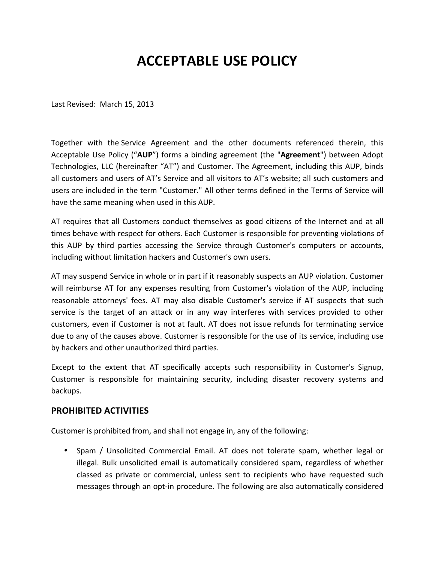## **ACCEPTABLE USE POLICY**

Last Revised: March 15, 2013

Together with the Service Agreement and the other documents referenced therein, this Acceptable Use Policy ("AUP") forms a binding agreement (the "Agreement") between Adopt Technologies, LLC (hereinafter "AT") and Customer. The Agreement, including this AUP, binds all customers and users of AT's Service and all visitors to AT's website; all such customers and users are included in the term "Customer." All other terms defined in the Terms of Service will have the same meaning when used in this AUP.

AT requires that all Customers conduct themselves as good citizens of the Internet and at all times behave with respect for others. Each Customer is responsible for preventing violations of this AUP by third parties accessing the Service through Customer's computers or accounts, including without limitation hackers and Customer's own users.

AT may suspend Service in whole or in part if it reasonably suspects an AUP violation. Customer will reimburse AT for any expenses resulting from Customer's violation of the AUP, including reasonable attorneys' fees. AT may also disable Customer's service if AT suspects that such service is the target of an attack or in any way interferes with services provided to other customers, even if Customer is not at fault. AT does not issue refunds for terminating service due to any of the causes above. Customer is responsible for the use of its service, including use by hackers and other unauthorized third parties.

Except to the extent that AT specifically accepts such responsibility in Customer's Signup, Customer is responsible for maintaining security, including disaster recovery systems and backups. 

## **PROHIBITED ACTIVITIES**

Customer is prohibited from, and shall not engage in, any of the following:

• Spam / Unsolicited Commercial Email. AT does not tolerate spam, whether legal or illegal. Bulk unsolicited email is automatically considered spam, regardless of whether classed as private or commercial, unless sent to recipients who have requested such messages through an opt-in procedure. The following are also automatically considered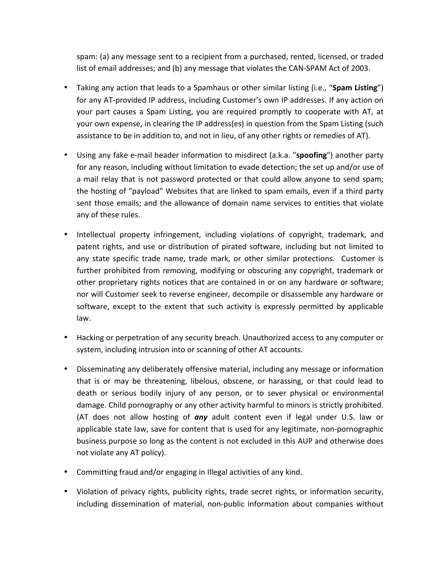spam: (a) any message sent to a recipient from a purchased, rented, licensed, or traded list of email addresses; and (b) any message that violates the CAN-SPAM Act of 2003.

- Taking any action that leads to a Spamhaus or other similar listing (i.e., "**Spam Listing**") for any AT-provided IP address, including Customer's own IP addresses. If any action on your part causes a Spam Listing, you are required promptly to cooperate with AT, at your own expense, in clearing the IP address(es) in question from the Spam Listing (such assistance to be in addition to, and not in lieu, of any other rights or remedies of AT).
- Using any fake e-mail header information to misdirect (a.k.a. "**spoofing**") another party for any reason, including without limitation to evade detection; the set up and/or use of a mail relay that is not password protected or that could allow anyone to send spam; the hosting of "payload" Websites that are linked to spam emails, even if a third party sent those emails; and the allowance of domain name services to entities that violate any of these rules.
- Intellectual property infringement, including violations of copyright, trademark, and patent rights, and use or distribution of pirated software, including but not limited to any state specific trade name, trade mark, or other similar protections. Customer is further prohibited from removing, modifying or obscuring any copyright, trademark or other proprietary rights notices that are contained in or on any hardware or software; nor will Customer seek to reverse engineer, decompile or disassemble any hardware or software, except to the extent that such activity is expressly permitted by applicable law.
- Hacking or perpetration of any security breach. Unauthorized access to any computer or system, including intrusion into or scanning of other AT accounts.
- Disseminating any deliberately offensive material, including any message or information that is or may be threatening, libelous, obscene, or harassing, or that could lead to death or serious bodily injury of any person, or to sever physical or environmental damage. Child pornography or any other activity harmful to minors is strictly prohibited. (AT does not allow hosting of *any* adult content even if legal under U.S. law or applicable state law, save for content that is used for any legitimate, non-pornographic business purpose so long as the content is not excluded in this AUP and otherwise does not violate any AT policy).
- Committing fraud and/or engaging in Illegal activities of any kind.
- Violation of privacy rights, publicity rights, trade secret rights, or information security, including dissemination of material, non-public information about companies without